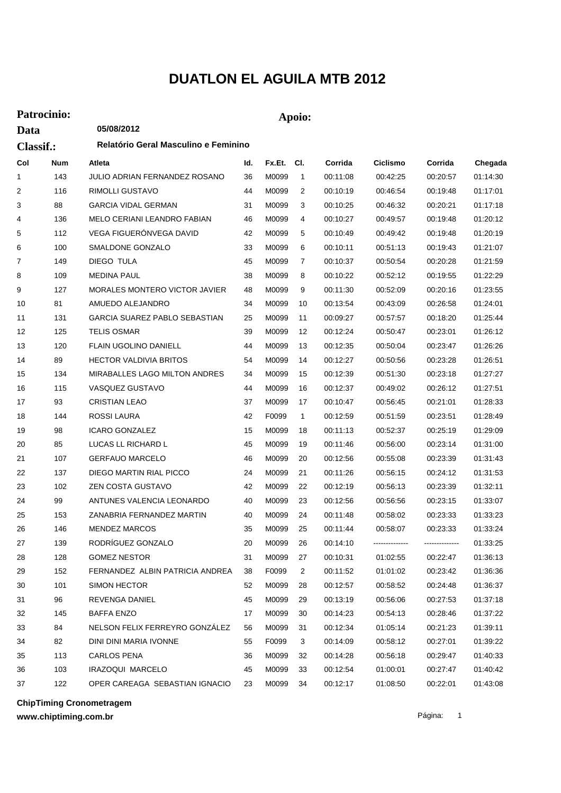## **DUATLON EL AGUILA MTB 2012**

## **Patrocinio: Apoio:**

**Data**

**05/08/2012**

| <b>Classif.:</b> |            | Relatório Geral Masculino e Feminino |     |            |                |          |                |                |          |  |
|------------------|------------|--------------------------------------|-----|------------|----------------|----------|----------------|----------------|----------|--|
| Col              | <b>Num</b> | Atleta                               | ld. | Fx.Et. Cl. |                | Corrida  | Ciclismo       | Corrida        | Chegada  |  |
| 1                | 143        | JULIO ADRIAN FERNANDEZ ROSANO        | 36  | M0099      | $\overline{1}$ | 00:11:08 | 00:42:25       | 00:20:57       | 01:14:30 |  |
| 2                | 116        | RIMOLLI GUSTAVO                      | 44  | M0099      | 2              | 00:10:19 | 00:46:54       | 00:19:48       | 01:17:01 |  |
| 3                | 88         | <b>GARCIA VIDAL GERMAN</b>           | 31  | M0099      | 3              | 00:10:25 | 00:46:32       | 00:20:21       | 01:17:18 |  |
| 4                | 136        | MELO CERIANI LEANDRO FABIAN          | 46  | M0099      | 4              | 00:10:27 | 00:49:57       | 00:19:48       | 01:20:12 |  |
| 5                | 112        | VEGA FIGUERÓNVEGA DAVID              | 42  | M0099      | 5              | 00:10:49 | 00:49:42       | 00:19:48       | 01:20:19 |  |
| 6                | 100        | SMALDONE GONZALO                     | 33  | M0099      | 6              | 00:10:11 | 00:51:13       | 00:19:43       | 01:21:07 |  |
| 7                | 149        | DIEGO TULA                           | 45  | M0099      | 7              | 00:10:37 | 00:50:54       | 00:20:28       | 01:21:59 |  |
| 8                | 109        | <b>MEDINA PAUL</b>                   | 38  | M0099      | 8              | 00:10:22 | 00:52:12       | 00:19:55       | 01:22:29 |  |
| 9                | 127        | MORALES MONTERO VICTOR JAVIER        | 48  | M0099      | 9              | 00:11:30 | 00:52:09       | 00:20:16       | 01:23:55 |  |
| 10               | 81         | AMUEDO ALEJANDRO                     | 34  | M0099      | 10             | 00:13:54 | 00:43:09       | 00:26:58       | 01:24:01 |  |
| 11               | 131        | GARCIA SUAREZ PABLO SEBASTIAN        | 25  | M0099      | 11             | 00:09:27 | 00:57:57       | 00:18:20       | 01:25:44 |  |
| 12               | 125        | <b>TELIS OSMAR</b>                   | 39  | M0099      | 12             | 00:12:24 | 00:50:47       | 00:23:01       | 01:26:12 |  |
| 13               | 120        | <b>FLAIN UGOLINO DANIELL</b>         | 44  | M0099      | 13             | 00:12:35 | 00:50:04       | 00:23:47       | 01:26:26 |  |
| 14               | 89         | <b>HECTOR VALDIVIA BRITOS</b>        | 54  | M0099      | 14             | 00:12:27 | 00:50:56       | 00:23:28       | 01:26:51 |  |
| 15               | 134        | MIRABALLES LAGO MILTON ANDRES        | 34  | M0099      | 15             | 00:12:39 | 00:51:30       | 00:23:18       | 01:27:27 |  |
| 16               | 115        | VASQUEZ GUSTAVO                      | 44  | M0099      | 16             | 00:12:37 | 00:49:02       | 00:26:12       | 01:27:51 |  |
| 17               | 93         | <b>CRISTIAN LEAO</b>                 | 37  | M0099      | 17             | 00:10:47 | 00:56:45       | 00:21:01       | 01:28:33 |  |
| 18               | 144        | ROSSI LAURA                          | 42  | F0099      | $\mathbf{1}$   | 00:12:59 | 00:51:59       | 00:23:51       | 01:28:49 |  |
| 19               | 98         | <b>ICARO GONZALEZ</b>                | 15  | M0099      | 18             | 00:11:13 | 00:52:37       | 00:25:19       | 01:29:09 |  |
| 20               | 85         | LUCAS LL RICHARD L                   | 45  | M0099      | 19             | 00:11:46 | 00:56:00       | 00:23:14       | 01:31:00 |  |
| 21               | 107        | <b>GERFAUO MARCELO</b>               | 46  | M0099      | 20             | 00:12:56 | 00:55:08       | 00:23:39       | 01:31:43 |  |
| 22               | 137        | DIEGO MARTIN RIAL PICCO              | 24  | M0099      | 21             | 00:11:26 | 00:56:15       | 00:24:12       | 01:31:53 |  |
| 23               | 102        | ZEN COSTA GUSTAVO                    | 42  | M0099      | 22             | 00:12:19 | 00:56:13       | 00:23:39       | 01:32:11 |  |
| 24               | 99         | ANTUNES VALENCIA LEONARDO            | 40  | M0099      | 23             | 00:12:56 | 00:56:56       | 00:23:15       | 01:33:07 |  |
| 25               | 153        | ZANABRIA FERNANDEZ MARTIN            | 40  | M0099      | 24             | 00:11:48 | 00:58:02       | 00:23:33       | 01:33:23 |  |
| 26               | 146        | <b>MENDEZ MARCOS</b>                 | 35  | M0099      | 25             | 00:11:44 | 00:58:07       | 00:23:33       | 01:33:24 |  |
| 27               | 139        | RODRÍGUEZ GONZALO                    | 20  | M0099      | 26             | 00:14:10 | -------------- | -------------- | 01:33:25 |  |
| 28               | 128        | <b>GOMEZ NESTOR</b>                  | 31  | M0099      | 27             | 00:10:31 | 01:02:55       | 00:22:47       | 01:36:13 |  |
| 29               | 152        | FERNANDEZ ALBIN PATRICIA ANDREA      | 38  | F0099      | 2              | 00:11:52 | 01:01:02       | 00:23:42       | 01:36:36 |  |
| 30               | 101        | SIMON HECTOR                         | 52  | M0099      | 28             | 00:12:57 | 00:58:52       | 00:24:48       | 01:36:37 |  |
| 31               | 96         | REVENGA DANIEL                       | 45  | M0099      | 29             | 00:13:19 | 00:56:06       | 00:27:53       | 01:37:18 |  |
| 32               | 145        | <b>BAFFA ENZO</b>                    | 17  | M0099      | 30             | 00:14:23 | 00:54:13       | 00:28:46       | 01:37:22 |  |
| 33               | 84         | NELSON FELIX FERREYRO GONZÁLEZ       | 56  | M0099      | 31             | 00:12:34 | 01:05:14       | 00:21:23       | 01:39:11 |  |
| 34               | 82         | DINI DINI MARIA IVONNE               | 55  | F0099      | 3              | 00:14:09 | 00:58:12       | 00:27:01       | 01:39:22 |  |
| 35               | 113        | <b>CARLOS PENA</b>                   | 36  | M0099      | 32             | 00:14:28 | 00:56:18       | 00:29:47       | 01:40:33 |  |
| 36               | 103        | IRAZOQUI MARCELO                     | 45  | M0099      | 33             | 00:12:54 | 01:00:01       | 00:27:47       | 01:40:42 |  |
| 37               | 122        | OPER CAREAGA SEBASTIAN IGNACIO       | 23  | M0099      | 34             | 00:12:17 | 01:08:50       | 00:22:01       | 01:43:08 |  |

**ChipTiming Cronometragem**

**www.chiptiming.com.br**

Página: 1